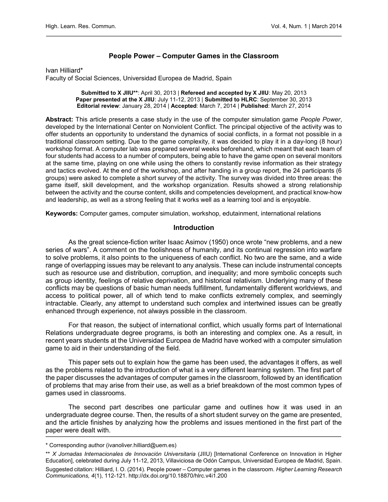# People Power – Computer Games in the Classroom

Ivan Hilliard\*

Faculty of Social Sciences, Universidad Europea de Madrid, Spain

Submitted to X JIIU\*\*: April 30, 2013 | Refereed and accepted by X JIIU: May 20, 2013 Paper presented at the X JIIU: July 11-12, 2013 | Submitted to HLRC: September 30, 2013 Editorial review: January 28, 2014 | Accepted: March 7, 2014 | Published: March 27, 2014

Abstract: This article presents a case study in the use of the computer simulation game People Power, developed by the International Center on Nonviolent Conflict. The principal objective of the activity was to offer students an opportunity to understand the dynamics of social conflicts, in a format not possible in a traditional classroom setting. Due to the game complexity, it was decided to play it in a day-long (8 hour) workshop format. A computer lab was prepared several weeks beforehand, which meant that each team of four students had access to a number of computers, being able to have the game open on several monitors at the same time, playing on one while using the others to constantly revise information as their strategy and tactics evolved. At the end of the workshop, and after handing in a group report, the 24 participants (6 groups) were asked to complete a short survey of the activity. The survey was divided into three areas: the game itself, skill development, and the workshop organization. Results showed a strong relationship between the activity and the course content, skills and competencies development, and practical know-how and leadership, as well as a strong feeling that it works well as a learning tool and is enjoyable.

Keywords: Computer games, computer simulation, workshop, edutainment, international relations

### **Introduction**

As the great science-fiction writer Isaac Asimov (1950) once wrote "new problems, and a new series of wars". A comment on the foolishness of humanity, and its continual regression into warfare to solve problems, it also points to the uniqueness of each conflict. No two are the same, and a wide range of overlapping issues may be relevant to any analysis. These can include instrumental concepts such as resource use and distribution, corruption, and inequality; and more symbolic concepts such as group identity, feelings of relative deprivation, and historical relativism. Underlying many of these conflicts may be questions of basic human needs fulfillment, fundamentally different worldviews, and access to political power, all of which tend to make conflicts extremely complex, and seemingly intractable. Clearly, any attempt to understand such complex and intertwined issues can be greatly enhanced through experience, not always possible in the classroom.

For that reason, the subject of international conflict, which usually forms part of International Relations undergraduate degree programs, is both an interesting and complex one. As a result, in recent years students at the Universidad Europea de Madrid have worked with a computer simulation game to aid in their understanding of the field.

This paper sets out to explain how the game has been used, the advantages it offers, as well as the problems related to the introduction of what is a very different learning system. The first part of the paper discusses the advantages of computer games in the classroom, followed by an identification of problems that may arise from their use, as well as a brief breakdown of the most common types of games used in classrooms.

The second part describes one particular game and outlines how it was used in an undergraduate degree course. Then, the results of a short student survey on the game are presented, and the article finishes by analyzing how the problems and issues mentioned in the first part of the paper were dealt with.

<sup>\*</sup> Corresponding author (ivanoliver.hilliard@uem.es)

<sup>\*\*</sup> X Jornadas Internacionales de Innovación Universitaria (JIIU) [International Conference on Innovation in Higher Education], celebrated during July 11-12, 2013, Villaviciosa de Odón Campus, Universidad Europea de Madrid, Spain.

Suggested citation: Hilliard, I. O. (2014). People power – Computer games in the classroom. Higher Learning Research Communications, 4(1), 112-121.<http://dx.doi.org/10.18870/hlrc.v4i1.200>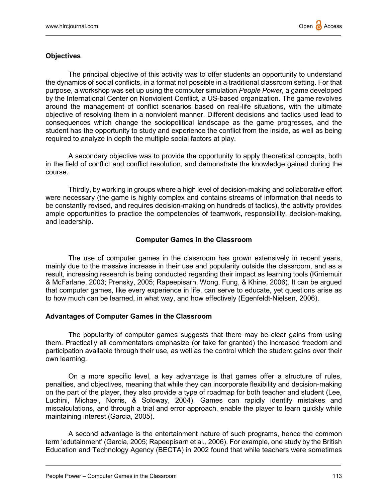# **Objectives**

The principal objective of this activity was to offer students an opportunity to understand the dynamics of social conflicts, in a format not possible in a traditional classroom setting. For that purpose, a workshop was set up using the computer simulation People Power, a game developed by the International Center on Nonviolent Conflict, a US-based organization. The game revolves around the management of conflict scenarios based on real-life situations, with the ultimate objective of resolving them in a nonviolent manner. Different decisions and tactics used lead to consequences which change the sociopolitical landscape as the game progresses, and the student has the opportunity to study and experience the conflict from the inside, as well as being required to analyze in depth the multiple social factors at play.

A secondary objective was to provide the opportunity to apply theoretical concepts, both in the field of conflict and conflict resolution, and demonstrate the knowledge gained during the course.

Thirdly, by working in groups where a high level of decision-making and collaborative effort were necessary (the game is highly complex and contains streams of information that needs to be constantly revised, and requires decision-making on hundreds of tactics), the activity provides ample opportunities to practice the competencies of teamwork, responsibility, decision-making, and leadership.

# Computer Games in the Classroom

The use of computer games in the classroom has grown extensively in recent years, mainly due to the massive increase in their use and popularity outside the classroom, and as a result, increasing research is being conducted regarding their impact as learning tools (Kirriemuir & McFarlane, 2003; Prensky, 2005; Rapeepisarn, Wong, Fung, & Khine, 2006). It can be argued that computer games, like every experience in life, can serve to educate, yet questions arise as to how much can be learned, in what way, and how effectively (Egenfeldt-Nielsen, 2006).

### Advantages of Computer Games in the Classroom

The popularity of computer games suggests that there may be clear gains from using them. Practically all commentators emphasize (or take for granted) the increased freedom and participation available through their use, as well as the control which the student gains over their own learning.

On a more specific level, a key advantage is that games offer a structure of rules, penalties, and objectives, meaning that while they can incorporate flexibility and decision-making on the part of the player, they also provide a type of roadmap for both teacher and student (Lee, Luchini, Michael, Norris, & Soloway, 2004). Games can rapidly identify mistakes and miscalculations, and through a trial and error approach, enable the player to learn quickly while maintaining interest (Garcia, 2005).

A second advantage is the entertainment nature of such programs, hence the common term 'edutainment' (Garcia, 2005; Rapeepisarn et al., 2006). For example, one study by the British Education and Technology Agency (BECTA) in 2002 found that while teachers were sometimes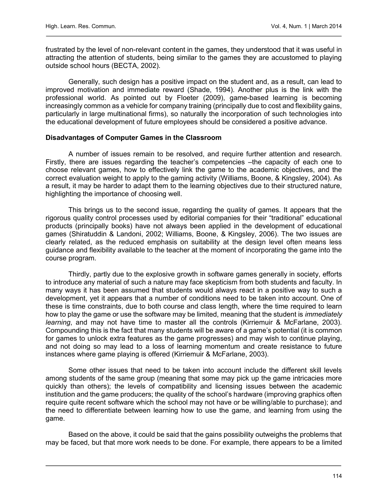frustrated by the level of non-relevant content in the games, they understood that it was useful in attracting the attention of students, being similar to the games they are accustomed to playing outside school hours (BECTA, 2002).

Generally, such design has a positive impact on the student and, as a result, can lead to improved motivation and immediate reward (Shade, 1994). Another plus is the link with the professional world. As pointed out by Floeter (2009), game-based learning is becoming increasingly common as a vehicle for company training (principally due to cost and flexibility gains, particularly in large multinational firms), so naturally the incorporation of such technologies into the educational development of future employees should be considered a positive advance.

### Disadvantages of Computer Games in the Classroom

A number of issues remain to be resolved, and require further attention and research. Firstly, there are issues regarding the teacher's competencies –the capacity of each one to choose relevant games, how to effectively link the game to the academic objectives, and the correct evaluation weight to apply to the gaming activity (Williams, Boone, & Kingsley, 2004). As a result, it may be harder to adapt them to the learning objectives due to their structured nature, highlighting the importance of choosing well.

This brings us to the second issue, regarding the quality of games. It appears that the rigorous quality control processes used by editorial companies for their "traditional" educational products (principally books) have not always been applied in the development of educational games (Shiratuddin & Landoni, 2002; Williams, Boone, & Kingsley, 2006). The two issues are clearly related, as the reduced emphasis on suitability at the design level often means less guidance and flexibility available to the teacher at the moment of incorporating the game into the course program.

Thirdly, partly due to the explosive growth in software games generally in society, efforts to introduce any material of such a nature may face skepticism from both students and faculty. In many ways it has been assumed that students would always react in a positive way to such a development, yet it appears that a number of conditions need to be taken into account. One of these is time constraints, due to both course and class length, where the time required to learn how to play the game or use the software may be limited, meaning that the student is *immediately* learning, and may not have time to master all the controls (Kirriemuir & McFarlane, 2003). Compounding this is the fact that many students will be aware of a game's potential (it is common for games to unlock extra features as the game progresses) and may wish to continue playing, and not doing so may lead to a loss of learning momentum and create resistance to future instances where game playing is offered (Kirriemuir & McFarlane, 2003).

Some other issues that need to be taken into account include the different skill levels among students of the same group (meaning that some may pick up the game intricacies more quickly than others); the levels of compatibility and licensing issues between the academic institution and the game producers; the quality of the school's hardware (improving graphics often require quite recent software which the school may not have or be willing/able to purchase); and the need to differentiate between learning how to use the game, and learning from using the game.

Based on the above, it could be said that the gains possibility outweighs the problems that may be faced, but that more work needs to be done. For example, there appears to be a limited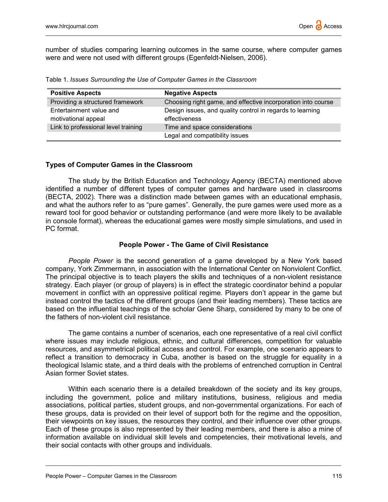

number of studies comparing learning outcomes in the same course, where computer games were and were not used with different groups (Egenfeldt-Nielsen, 2006).

| <b>Positive Aspects</b>                        | <b>Negative Aspects</b>                                                    |
|------------------------------------------------|----------------------------------------------------------------------------|
| Providing a structured framework               | Choosing right game, and effective incorporation into course               |
| Entertainment value and<br>motivational appeal | Design issues, and quality control in regards to learning<br>effectiveness |
| Link to professional level training            | Time and space considerations                                              |
|                                                | Legal and compatibility issues                                             |

Table 1. Issues Surrounding the Use of Computer Games in the Classroom

#### Types of Computer Games in the Classroom

The study by the British Education and Technology Agency (BECTA) mentioned above identified a number of different types of computer games and hardware used in classrooms (BECTA, 2002). There was a distinction made between games with an educational emphasis, and what the authors refer to as "pure games". Generally, the pure games were used more as a reward tool for good behavior or outstanding performance (and were more likely to be available in console format), whereas the educational games were mostly simple simulations, and used in PC format.

#### People Power - The Game of Civil Resistance

People Power is the second generation of a game developed by a New York based company, York Zimmermann, in association with the International Center on Nonviolent Conflict. The principal objective is to teach players the skills and techniques of a non-violent resistance strategy. Each player (or group of players) is in effect the strategic coordinator behind a popular movement in conflict with an oppressive political regime. Players don't appear in the game but instead control the tactics of the different groups (and their leading members). These tactics are based on the influential teachings of the scholar Gene Sharp, considered by many to be one of the fathers of non-violent civil resistance.

The game contains a number of scenarios, each one representative of a real civil conflict where issues may include religious, ethnic, and cultural differences, competition for valuable resources, and asymmetrical political access and control. For example, one scenario appears to reflect a transition to democracy in Cuba, another is based on the struggle for equality in a theological Islamic state, and a third deals with the problems of entrenched corruption in Central Asian former Soviet states.

Within each scenario there is a detailed breakdown of the society and its key groups, including the government, police and military institutions, business, religious and media associations, political parties, student groups, and non-governmental organizations. For each of these groups, data is provided on their level of support both for the regime and the opposition, their viewpoints on key issues, the resources they control, and their influence over other groups. Each of these groups is also represented by their leading members, and there is also a mine of information available on individual skill levels and competencies, their motivational levels, and their social contacts with other groups and individuals.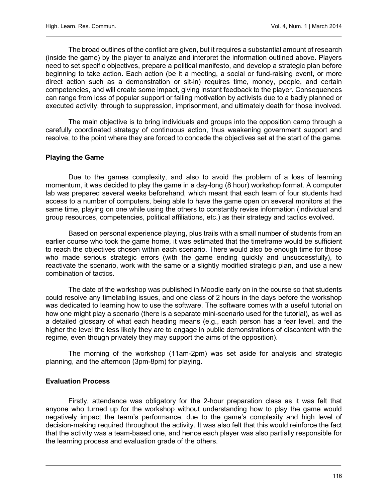The broad outlines of the conflict are given, but it requires a substantial amount of research (inside the game) by the player to analyze and interpret the information outlined above. Players need to set specific objectives, prepare a political manifesto, and develop a strategic plan before beginning to take action. Each action (be it a meeting, a social or fund-raising event, or more direct action such as a demonstration or sit-in) requires time, money, people, and certain competencies, and will create some impact, giving instant feedback to the player. Consequences can range from loss of popular support or falling motivation by activists due to a badly planned or executed activity, through to suppression, imprisonment, and ultimately death for those involved.

The main objective is to bring individuals and groups into the opposition camp through a carefully coordinated strategy of continuous action, thus weakening government support and resolve, to the point where they are forced to concede the objectives set at the start of the game.

# Playing the Game

Due to the games complexity, and also to avoid the problem of a loss of learning momentum, it was decided to play the game in a day-long (8 hour) workshop format. A computer lab was prepared several weeks beforehand, which meant that each team of four students had access to a number of computers, being able to have the game open on several monitors at the same time, playing on one while using the others to constantly revise information (individual and group resources, competencies, political affiliations, etc.) as their strategy and tactics evolved.

Based on personal experience playing, plus trails with a small number of students from an earlier course who took the game home, it was estimated that the timeframe would be sufficient to reach the objectives chosen within each scenario. There would also be enough time for those who made serious strategic errors (with the game ending quickly and unsuccessfully), to reactivate the scenario, work with the same or a slightly modified strategic plan, and use a new combination of tactics.

The date of the workshop was published in Moodle early on in the course so that students could resolve any timetabling issues, and one class of 2 hours in the days before the workshop was dedicated to learning how to use the software. The software comes with a useful tutorial on how one might play a scenario (there is a separate mini-scenario used for the tutorial), as well as a detailed glossary of what each heading means (e.g., each person has a fear level, and the higher the level the less likely they are to engage in public demonstrations of discontent with the regime, even though privately they may support the aims of the opposition).

The morning of the workshop (11am-2pm) was set aside for analysis and strategic planning, and the afternoon (3pm-8pm) for playing.

### Evaluation Process

Firstly, attendance was obligatory for the 2-hour preparation class as it was felt that anyone who turned up for the workshop without understanding how to play the game would negatively impact the team's performance, due to the game's complexity and high level of decision-making required throughout the activity. It was also felt that this would reinforce the fact that the activity was a team-based one, and hence each player was also partially responsible for the learning process and evaluation grade of the others.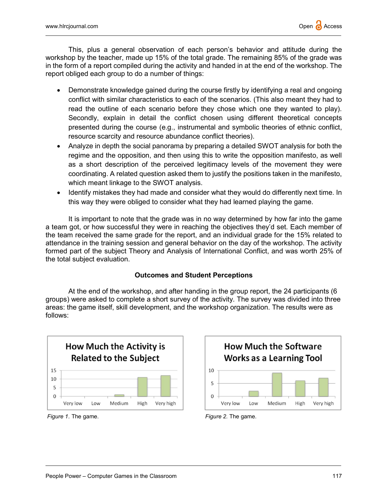This, plus a general observation of each person's behavior and attitude during the workshop by the teacher, made up 15% of the total grade. The remaining 85% of the grade was in the form of a report compiled during the activity and handed in at the end of the workshop. The report obliged each group to do a number of things:

- Demonstrate knowledge gained during the course firstly by identifying a real and ongoing conflict with similar characteristics to each of the scenarios. (This also meant they had to read the outline of each scenario before they chose which one they wanted to play). Secondly, explain in detail the conflict chosen using different theoretical concepts presented during the course (e.g., instrumental and symbolic theories of ethnic conflict, resource scarcity and resource abundance conflict theories).
- Analyze in depth the social panorama by preparing a detailed SWOT analysis for both the regime and the opposition, and then using this to write the opposition manifesto, as well as a short description of the perceived legitimacy levels of the movement they were coordinating. A related question asked them to justify the positions taken in the manifesto, which meant linkage to the SWOT analysis.
- Identify mistakes they had made and consider what they would do differently next time. In this way they were obliged to consider what they had learned playing the game.

It is important to note that the grade was in no way determined by how far into the game a team got, or how successful they were in reaching the objectives they'd set. Each member of the team received the same grade for the report, and an individual grade for the 15% related to attendance in the training session and general behavior on the day of the workshop. The activity formed part of the subject Theory and Analysis of International Conflict, and was worth 25% of the total subject evaluation.

# Outcomes and Student Perceptions

At the end of the workshop, and after handing in the group report, the 24 participants (6 groups) were asked to complete a short survey of the activity. The survey was divided into three areas: the game itself, skill development, and the workshop organization. The results were as follows:





Figure 1. The game. The same control of the game control of the game. Figure 2. The game.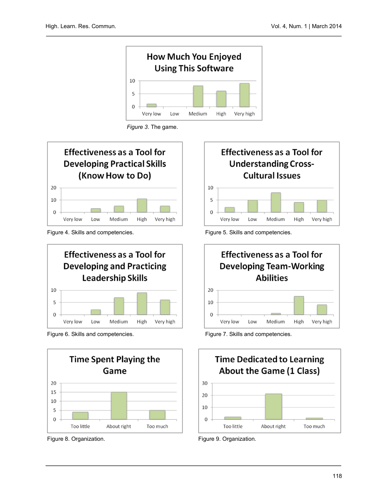

Figure 3. The game.



Figure 4. Skills and competencies. Figure 5. Skills and competencies.





Figure 8. Organization. The same of the set of the Figure 9. Organization.







Figure 6. Skills and competencies. Figure 7. Skills and competencies.

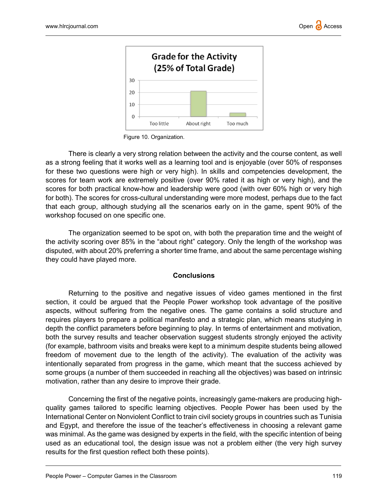

Figure 10. Organization.

There is clearly a very strong relation between the activity and the course content, as well as a strong feeling that it works well as a learning tool and is enjoyable (over 50% of responses for these two questions were high or very high). In skills and competencies development, the scores for team work are extremely positive (over 90% rated it as high or very high), and the scores for both practical know-how and leadership were good (with over 60% high or very high for both). The scores for cross-cultural understanding were more modest, perhaps due to the fact that each group, although studying all the scenarios early on in the game, spent 90% of the workshop focused on one specific one.

The organization seemed to be spot on, with both the preparation time and the weight of the activity scoring over 85% in the "about right" category. Only the length of the workshop was disputed, with about 20% preferring a shorter time frame, and about the same percentage wishing they could have played more.

## **Conclusions**

Returning to the positive and negative issues of video games mentioned in the first section, it could be argued that the People Power workshop took advantage of the positive aspects, without suffering from the negative ones. The game contains a solid structure and requires players to prepare a political manifesto and a strategic plan, which means studying in depth the conflict parameters before beginning to play. In terms of entertainment and motivation, both the survey results and teacher observation suggest students strongly enjoyed the activity (for example, bathroom visits and breaks were kept to a minimum despite students being allowed freedom of movement due to the length of the activity). The evaluation of the activity was intentionally separated from progress in the game, which meant that the success achieved by some groups (a number of them succeeded in reaching all the objectives) was based on intrinsic motivation, rather than any desire to improve their grade.

Concerning the first of the negative points, increasingly game-makers are producing highquality games tailored to specific learning objectives. People Power has been used by the International Center on Nonviolent Conflict to train civil society groups in countries such as Tunisia and Egypt, and therefore the issue of the teacher's effectiveness in choosing a relevant game was minimal. As the game was designed by experts in the field, with the specific intention of being used as an educational tool, the design issue was not a problem either (the very high survey results for the first question reflect both these points).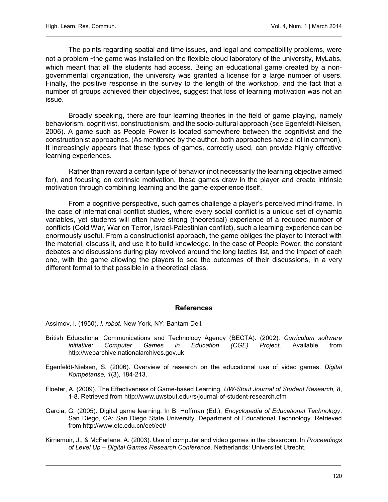The points regarding spatial and time issues, and legal and compatibility problems, were not a problem –the game was installed on the flexible cloud laboratory of the university, MyLabs, which meant that all the students had access. Being an educational game created by a nongovernmental organization, the university was granted a license for a large number of users. Finally, the positive response in the survey to the length of the workshop, and the fact that a number of groups achieved their objectives, suggest that loss of learning motivation was not an issue.

Broadly speaking, there are four learning theories in the field of game playing, namely behaviorism, cognitivist, constructionism, and the socio-cultural approach (see Egenfeldt-Nielsen, 2006). A game such as People Power is located somewhere between the cognitivist and the constructionist approaches. (As mentioned by the author, both approaches have a lot in common). It increasingly appears that these types of games, correctly used, can provide highly effective learning experiences.

Rather than reward a certain type of behavior (not necessarily the learning objective aimed for), and focusing on extrinsic motivation, these games draw in the player and create intrinsic motivation through combining learning and the game experience itself.

From a cognitive perspective, such games challenge a player's perceived mind-frame. In the case of international conflict studies, where every social conflict is a unique set of dynamic variables, yet students will often have strong (theoretical) experience of a reduced number of conflicts (Cold War, War on Terror, Israel-Palestinian conflict), such a learning experience can be enormously useful. From a constructionist approach, the game obliges the player to interact with the material, discuss it, and use it to build knowledge. In the case of People Power, the constant debates and discussions during play revolved around the long tactics list, and the impact of each one, with the game allowing the players to see the outcomes of their discussions, in a very different format to that possible in a theoretical class.

#### References

Assimov, I. (1950). I, robot. New York, NY: Bantam Dell.

- British Educational Communications and Technology Agency (BECTA). (2002). Curriculum software initiative: Computer Games in Education (CGE) Project. Available from http://webarchive.nationalarchives.gov.uk
- Egenfeldt-Nielsen, S. (2006). Overview of research on the educational use of video games. Digital Kompetanse, 1(3), 184-213.
- Floeter, A. (2009). The Effectiveness of Game-based Learning. UW-Stout Journal of Student Research, 8, 1-8. Retrieved from http://www.uwstout.edu/rs/journal-of-student-research.cfm
- Garcia, G. (2005). Digital game learning. In B. Hoffman (Ed.), Encyclopedia of Educational Technology. San Diego, CA: San Diego State University, Department of Educational Technology. Retrieved from http://www.etc.edu.cn/eet/eet/
- Kirriemuir, J., & McFarlane, A. (2003). Use of computer and video games in the classroom. In Proceedings of Level Up – Digital Games Research Conference. Netherlands: Universitet Utrecht.